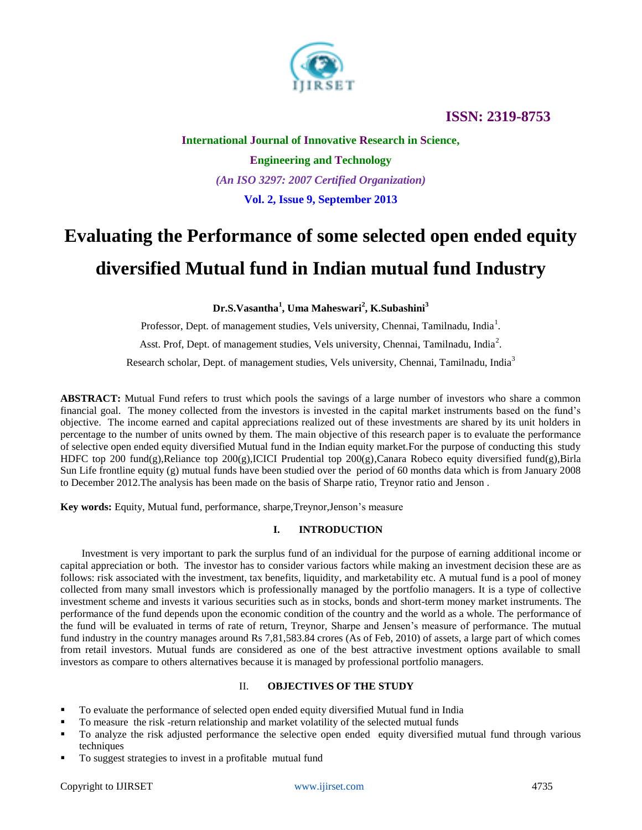

**International Journal of Innovative Research in Science, Engineering and Technology** *(An ISO 3297: 2007 Certified Organization)* **Vol. 2, Issue 9, September 2013**

# **Evaluating the Performance of some selected open ended equity diversified Mutual fund in Indian mutual fund Industry**

**Dr.S.Vasantha<sup>1</sup> , Uma Maheswari<sup>2</sup> , K.Subashini<sup>3</sup>**

Professor, Dept. of management studies, Vels university, Chennai, Tamilnadu, India<sup>1</sup>. Asst. Prof, Dept. of management studies, Vels university, Chennai, Tamilnadu, India<sup>2</sup>. Research scholar, Dept. of management studies, Vels university, Chennai, Tamilnadu, India<sup>3</sup>

**ABSTRACT:** Mutual Fund refers to trust which pools the savings of a large number of investors who share a common financial goal. The money collected from the investors is invested in the capital market instruments based on the fund's objective. The income earned and capital appreciations realized out of these investments are shared by its unit holders in percentage to the number of units owned by them. The main objective of this research paper is to evaluate the performance of selective open ended equity diversified Mutual fund in the Indian equity market.For the purpose of conducting this study HDFC top 200 fund(g),Reliance top 200(g),ICICI Prudential top 200(g),Canara Robeco equity diversified fund(g),Birla Sun Life frontline equity (g) mutual funds have been studied over the period of 60 months data which is from January 2008 to December 2012.The analysis has been made on the basis of Sharpe ratio, Treynor ratio and Jenson .

**Key words:** Equity, Mutual fund, performance, sharpe,Treynor,Jenson's measure

# **I. INTRODUCTION**

Investment is very important to park the surplus fund of an individual for the purpose of earning additional income or capital appreciation or both. The investor has to consider various factors while making an investment decision these are as follows: risk associated with the investment, tax benefits, liquidity, and marketability etc. A mutual fund is a pool of money collected from many small investors which is professionally managed by the portfolio managers. It is a type of collective investment scheme and invests it various securities such as in stocks, bonds and short-term money market instruments. The performance of the fund depends upon the economic condition of the country and the world as a whole. The performance of the fund will be evaluated in terms of rate of return, Treynor, Sharpe and Jensen's measure of performance. The mutual fund industry in the country manages around Rs 7,81,583.84 crores (As of Feb, 2010) of assets, a large part of which comes from retail investors. Mutual funds are considered as one of the best attractive investment options available to small investors as compare to others alternatives because it is managed by professional portfolio managers.

# II. **OBJECTIVES OF THE STUDY**

- To evaluate the performance of selected open ended equity diversified Mutual fund in India
- To measure the risk -return relationship and market volatility of the selected mutual funds
- To analyze the risk adjusted performance the selective open ended equity diversified mutual fund through various techniques
- To suggest strategies to invest in a profitable mutual fund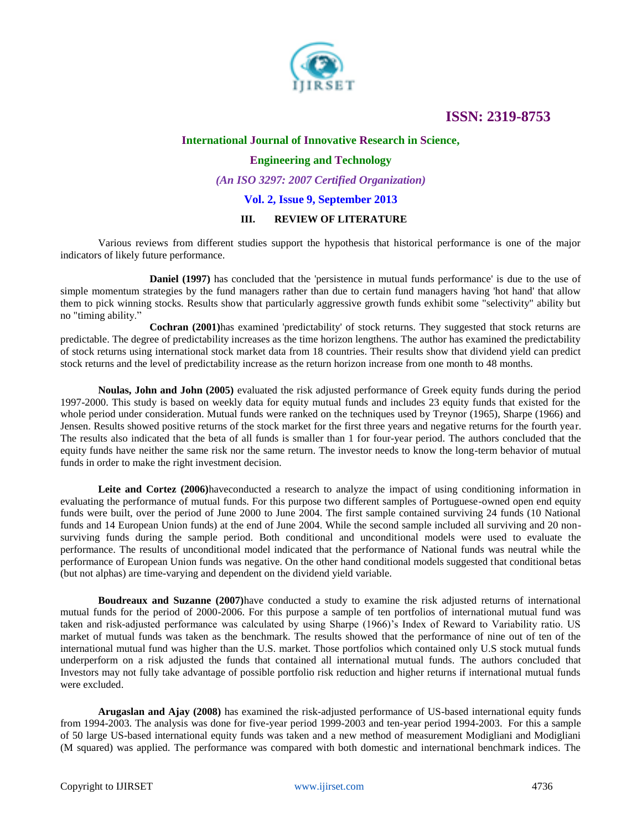

### **International Journal of Innovative Research in Science,**

### **Engineering and Technology**

*(An ISO 3297: 2007 Certified Organization)*

### **Vol. 2, Issue 9, September 2013**

### **III. REVIEW OF LITERATURE**

Various reviews from different studies support the hypothesis that historical performance is one of the major indicators of likely future performance.

**Daniel (1997)** has concluded that the 'persistence in mutual funds performance' is due to the use of simple momentum strategies by the fund managers rather than due to certain fund managers having 'hot hand' that allow them to pick winning stocks. Results show that particularly aggressive growth funds exhibit some "selectivity" ability but no "timing ability."

**Cochran (2001)**has examined 'predictability' of stock returns. They suggested that stock returns are predictable. The degree of predictability increases as the time horizon lengthens. The author has examined the predictability of stock returns using international stock market data from 18 countries. Their results show that dividend yield can predict stock returns and the level of predictability increase as the return horizon increase from one month to 48 months.

**Noulas, John and John (2005)** evaluated the risk adjusted performance of Greek equity funds during the period 1997-2000. This study is based on weekly data for equity mutual funds and includes 23 equity funds that existed for the whole period under consideration. Mutual funds were ranked on the techniques used by Treynor (1965), Sharpe (1966) and Jensen. Results showed positive returns of the stock market for the first three years and negative returns for the fourth year. The results also indicated that the beta of all funds is smaller than 1 for four-year period. The authors concluded that the equity funds have neither the same risk nor the same return. The investor needs to know the long-term behavior of mutual funds in order to make the right investment decision.

**Leite and Cortez (2006)**haveconducted a research to analyze the impact of using conditioning information in evaluating the performance of mutual funds. For this purpose two different samples of Portuguese-owned open end equity funds were built, over the period of June 2000 to June 2004. The first sample contained surviving 24 funds (10 National funds and 14 European Union funds) at the end of June 2004. While the second sample included all surviving and 20 nonsurviving funds during the sample period. Both conditional and unconditional models were used to evaluate the performance. The results of unconditional model indicated that the performance of National funds was neutral while the performance of European Union funds was negative. On the other hand conditional models suggested that conditional betas (but not alphas) are time-varying and dependent on the dividend yield variable.

**Boudreaux and Suzanne (2007)**have conducted a study to examine the risk adjusted returns of international mutual funds for the period of 2000-2006. For this purpose a sample of ten portfolios of international mutual fund was taken and risk-adjusted performance was calculated by using Sharpe (1966)'s Index of Reward to Variability ratio. US market of mutual funds was taken as the benchmark. The results showed that the performance of nine out of ten of the international mutual fund was higher than the U.S. market. Those portfolios which contained only U.S stock mutual funds underperform on a risk adjusted the funds that contained all international mutual funds. The authors concluded that Investors may not fully take advantage of possible portfolio risk reduction and higher returns if international mutual funds were excluded.

**Arugaslan and Ajay (2008)** has examined the risk-adjusted performance of US-based international equity funds from 1994-2003. The analysis was done for five-year period 1999-2003 and ten-year period 1994-2003. For this a sample of 50 large US-based international equity funds was taken and a new method of measurement Modigliani and Modigliani (M squared) was applied. The performance was compared with both domestic and international benchmark indices. The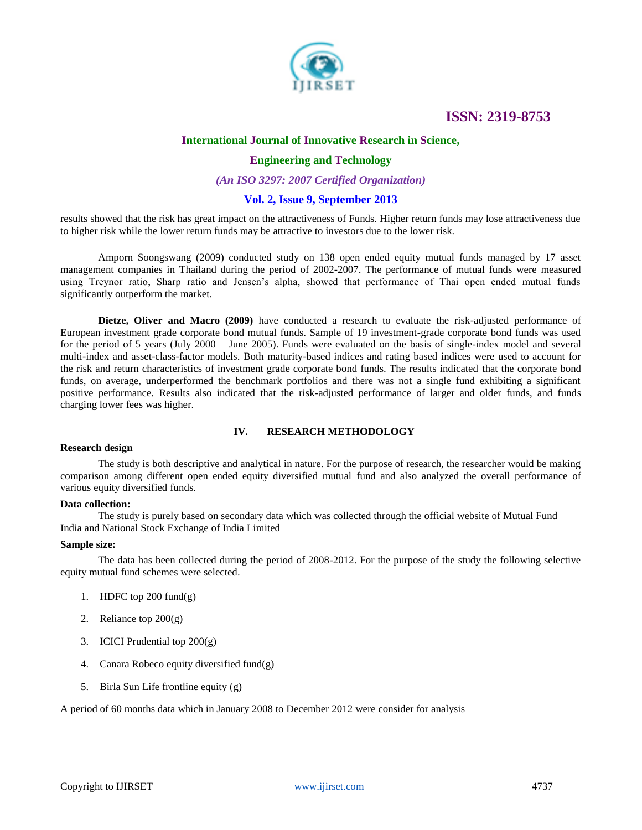

### **International Journal of Innovative Research in Science,**

#### **Engineering and Technology**

#### *(An ISO 3297: 2007 Certified Organization)*

### **Vol. 2, Issue 9, September 2013**

results showed that the risk has great impact on the attractiveness of Funds. Higher return funds may lose attractiveness due to higher risk while the lower return funds may be attractive to investors due to the lower risk.

Amporn Soongswang (2009) conducted study on 138 open ended equity mutual funds managed by 17 asset management companies in Thailand during the period of 2002-2007. The performance of mutual funds were measured using Treynor ratio, Sharp ratio and Jensen's alpha, showed that performance of Thai open ended mutual funds significantly outperform the market.

**Dietze, Oliver and Macro (2009)** have conducted a research to evaluate the risk-adjusted performance of European investment grade corporate bond mutual funds. Sample of 19 investment-grade corporate bond funds was used for the period of 5 years (July 2000 – June 2005). Funds were evaluated on the basis of single-index model and several multi-index and asset-class-factor models. Both maturity-based indices and rating based indices were used to account for the risk and return characteristics of investment grade corporate bond funds. The results indicated that the corporate bond funds, on average, underperformed the benchmark portfolios and there was not a single fund exhibiting a significant positive performance. Results also indicated that the risk-adjusted performance of larger and older funds, and funds charging lower fees was higher.

#### **IV. RESEARCH METHODOLOGY**

#### **Research design**

The study is both descriptive and analytical in nature. For the purpose of research, the researcher would be making comparison among different open ended equity diversified mutual fund and also analyzed the overall performance of various equity diversified funds.

#### **Data collection:**

The study is purely based on secondary data which was collected through the official website of Mutual Fund India and National Stock Exchange of India Limited

#### **Sample size:**

The data has been collected during the period of 2008-2012. For the purpose of the study the following selective equity mutual fund schemes were selected.

- 1. HDFC top 200 fund $(g)$
- 2. Reliance top  $200(g)$
- 3. ICICI Prudential top 200(g)
- 4. Canara Robeco equity diversified fund(g)
- 5. Birla Sun Life frontline equity (g)

A period of 60 months data which in January 2008 to December 2012 were consider for analysis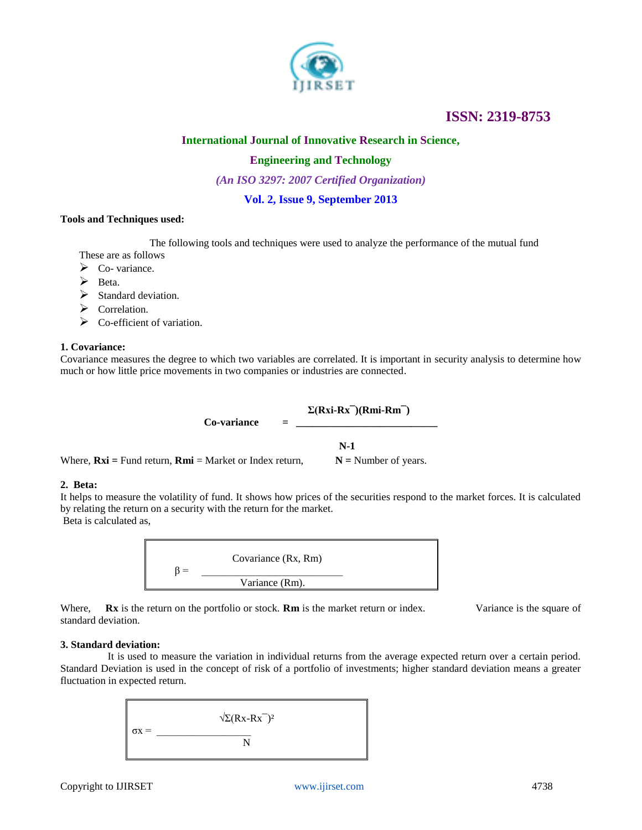

# **International Journal of Innovative Research in Science,**

# **Engineering and Technology**

*(An ISO 3297: 2007 Certified Organization)*

# **Vol. 2, Issue 9, September 2013**

#### **Tools and Techniques used:**

The following tools and techniques were used to analyze the performance of the mutual fund

- These are as follows
- $\triangleright$  Co- variance.
- $\triangleright$  Beta.

 $\triangleright$  Standard deviation.

- $\triangleright$  Correlation.
- $\triangleright$  Co-efficient of variation.

### **1. Covariance:**

Covariance measures the degree to which two variables are correlated. It is important in [security](http://financial-dictionary.thefreedictionary.com/Security) analysis to determine how much or how little price movements in two companies or industries are connected.

# $\Sigma(Rxi-Rx^{-})(Rmi-Rm^{-})$

Co-variance =

 **N-1**

Where,  $Rxi$  = Fund return,  $Rmi$  = Market or Index return,  $N$  = Number of years.

#### **2. Beta:**

It helps to measure the volatility of fund. It shows how prices of the securities respond to the market forces. It is calculated by relating the return on a security with the return for the market. Beta is calculated as,



Where, **Rx** is the return on the portfolio or stock. **Rm** is the market return or index. Variance is the square of standard deviation.

### **3. Standard deviation:**

 It is used to measure the variation in individual returns from the average expected return over a certain period. Standard Deviation is used in the concept of risk of a portfolio of investments; higher standard deviation means a greater fluctuation in expected return.

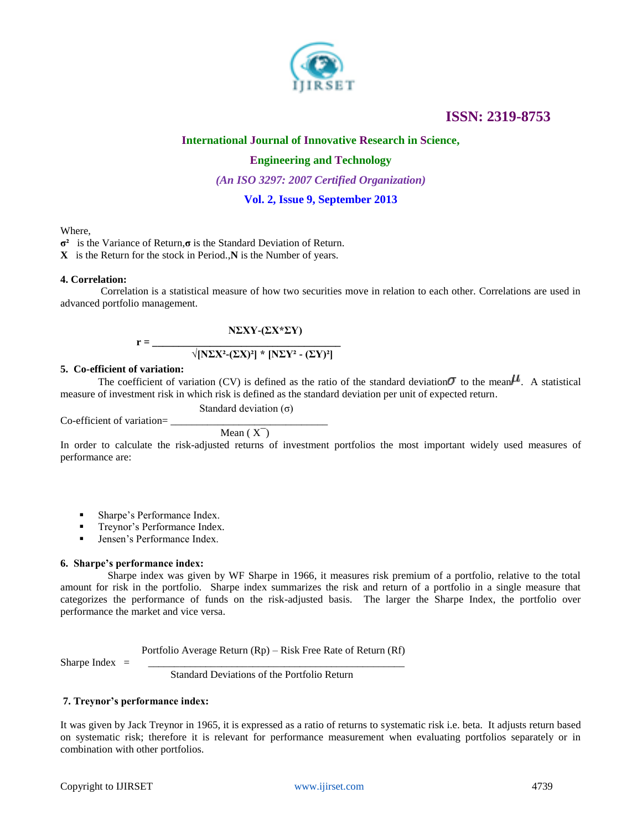

# **International Journal of Innovative Research in Science,**

# **Engineering and Technology**

*(An ISO 3297: 2007 Certified Organization)*

# **Vol. 2, Issue 9, September 2013**

Where,

**σ²** is the Variance of Return,**σ** is the Standard Deviation of Return.

**X** is the Return for the stock in Period.,**N** is the Number of years.

#### **4. Correlation:**

Correlation is a statistical measure of how two securities move in relation to each other. Correlations are used in advanced portfolio management.

 **NΣXY-(ΣX\*ΣY)**

#### $r = \_$  **√[NΣX²-(ΣX)²] \* [NΣY² - (ΣY)²]**

#### **5. Co-efficient of variation:**

The coefficient of variation (CV) is defined as the ratio of the [standard deviation](http://en.wikipedia.org/wiki/Standard_deviation)  $\sigma$  to the [mean](http://en.wikipedia.org/wiki/Mean)  $\mu$ . A statistical measure of investment risk in which risk is defined as the standard deviation per unit of expected return.

Standard deviation  $(\sigma)$ 

Co-efficient of variation=

Mean  $(X^-)$ 

In order to calculate the risk-adjusted returns of investment portfolios the most important widely used measures of performance are:

- Sharpe's Performance Index.
- Treynor's Performance Index.
- Jensen's Performance Index.

#### **6. Sharpe's performance index:**

 Sharpe index was given by WF Sharpe in 1966, it measures risk premium of a portfolio, relative to the total amount for risk in the portfolio. Sharpe index summarizes the risk and return of a portfolio in a single measure that categorizes the performance of funds on the risk-adjusted basis. The larger the Sharpe Index, the portfolio over performance the market and vice versa.

Portfolio Average Return (Rp) – Risk Free Rate of Return (Rf)

Sharpe Index  $=$ 

Standard Deviations of the Portfolio Return

#### **7. Treynor's performance index:**

It was given by Jack Treynor in 1965, it is expressed as a ratio of returns to systematic risk i.e. beta. It adjusts return based on systematic risk; therefore it is relevant for performance measurement when evaluating portfolios separately or in combination with other portfolios.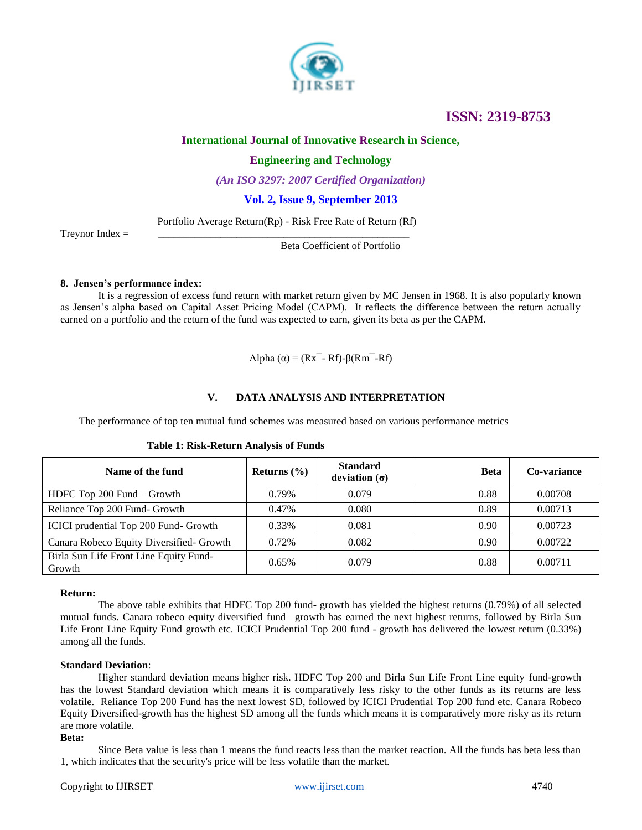

### **International Journal of Innovative Research in Science,**

### **Engineering and Technology**

*(An ISO 3297: 2007 Certified Organization)*

**Vol. 2, Issue 9, September 2013**

Portfolio Average Return(Rp) - Risk Free Rate of Return (Rf)

Treynor Index  $=$ 

Beta Coefficient of Portfolio

#### **8. Jensen's performance index:**

It is a regression of excess fund return with market return given by MC Jensen in 1968. It is also popularly known as Jensen's alpha based on Capital Asset Pricing Model (CAPM). It reflects the difference between the return actually earned on a portfolio and the return of the fund was expected to earn, given its beta as per the CAPM.

Alpha ( $\alpha$ ) = (Rx<sup>-</sup>- Rf)-β(Rm<sup>-</sup>-Rf)

# **V. DATA ANALYSIS AND INTERPRETATION**

The performance of top ten mutual fund schemes was measured based on various performance metrics

| Name of the fund                                 | Returns $(\% )$ | <b>Standard</b><br>deviation $(\sigma)$ | <b>Beta</b> | Co-variance |
|--------------------------------------------------|-----------------|-----------------------------------------|-------------|-------------|
| HDFC Top 200 Fund – Growth                       | 0.79%           | 0.079                                   | 0.88        | 0.00708     |
| Reliance Top 200 Fund- Growth                    | 0.47%           | 0.080                                   | 0.89        | 0.00713     |
| ICICI prudential Top 200 Fund- Growth            | 0.33%           | 0.081                                   | 0.90        | 0.00723     |
| Canara Robeco Equity Diversified- Growth         | 0.72%           | 0.082                                   | 0.90        | 0.00722     |
| Birla Sun Life Front Line Equity Fund-<br>Growth | 0.65%           | 0.079                                   | 0.88        | 0.00711     |

#### **Table 1: Risk-Return Analysis of Funds**

#### **Return:**

The above table exhibits that HDFC Top 200 fund- growth has yielded the highest returns (0.79%) of all selected mutual funds. Canara robeco equity diversified fund –growth has earned the next highest returns, followed by Birla Sun Life Front Line Equity Fund growth etc. ICICI Prudential Top 200 fund - growth has delivered the lowest return (0.33%) among all the funds.

#### **Standard Deviation**:

Higher standard deviation means higher risk. HDFC Top 200 and Birla Sun Life Front Line equity fund-growth has the lowest Standard deviation which means it is comparatively less risky to the other funds as its returns are less volatile. Reliance Top 200 Fund has the next lowest SD, followed by ICICI Prudential Top 200 fund etc. Canara Robeco Equity Diversified-growth has the highest SD among all the funds which means it is comparatively more risky as its return are more volatile.

#### **Beta:**

Since Beta value is less than 1 means the fund reacts less than the market reaction. All the funds has beta less than 1, which indicates that the security's price will be less volatile than the market.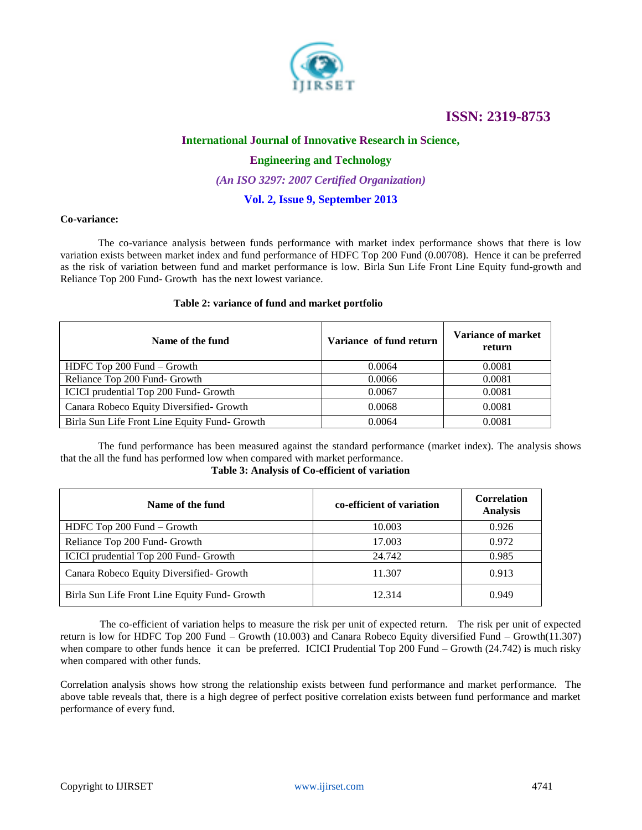

# **International Journal of Innovative Research in Science,**

# **Engineering and Technology**

### *(An ISO 3297: 2007 Certified Organization)*

# **Vol. 2, Issue 9, September 2013**

#### **Co-variance:**

The co-variance analysis between funds performance with market index performance shows that there is low variation exists between market index and fund performance of HDFC Top 200 Fund (0.00708). Hence it can be preferred as the risk of variation between fund and market performance is low. Birla Sun Life Front Line Equity fund-growth and [Reliance Top 200 Fund-](http://www.mutualfundsindia.com/fundfactsheet1.asp?sname=RC030) Growth has the next lowest variance.

#### **Table 2: variance of fund and market portfolio**

| Name of the fund                              | Variance of fund return | Variance of market<br>return |
|-----------------------------------------------|-------------------------|------------------------------|
| HDFC Top $200$ Fund $-$ Growth                | 0.0064                  | 0.0081                       |
| Reliance Top 200 Fund- Growth                 | 0.0066                  | 0.0081                       |
| ICICI prudential Top 200 Fund- Growth         | 0.0067                  | 0.0081                       |
| Canara Robeco Equity Diversified - Growth     | 0.0068                  | 0.0081                       |
| Birla Sun Life Front Line Equity Fund- Growth | 0.0064                  | 0.0081                       |

The fund performance has been measured against the standard performance (market index). The analysis shows that the all the fund has performed low when compared with market performance.

# **Table 3: Analysis of Co-efficient of variation**

| Name of the fund                              | co-efficient of variation | Correlation<br><b>Analysis</b> |
|-----------------------------------------------|---------------------------|--------------------------------|
| HDFC Top 200 Fund - Growth                    | 10.003                    | 0.926                          |
| Reliance Top 200 Fund- Growth                 | 17.003                    | 0.972                          |
| ICICI prudential Top 200 Fund- Growth         | 24.742                    | 0.985                          |
| Canara Robeco Equity Diversified - Growth     | 11.307                    | 0.913                          |
| Birla Sun Life Front Line Equity Fund- Growth | 12.314                    | 0.949                          |

 The co-efficient of variation helps to measure the risk per unit of expected return. The risk per unit of expected return is low for HDFC Top 200 Fund – Growth (10.003) and Canara Robeco Equity diversified Fund – Growth(11.307) when compare to other funds hence it can be preferred. ICICI Prudential Top 200 Fund – Growth (24.742) is much risky when compared with other funds.

Correlation analysis shows how strong the relationship exists between fund performance and market performance. The above table reveals that, there is a high degree of perfect positive correlation exists between fund performance and market performance of every fund.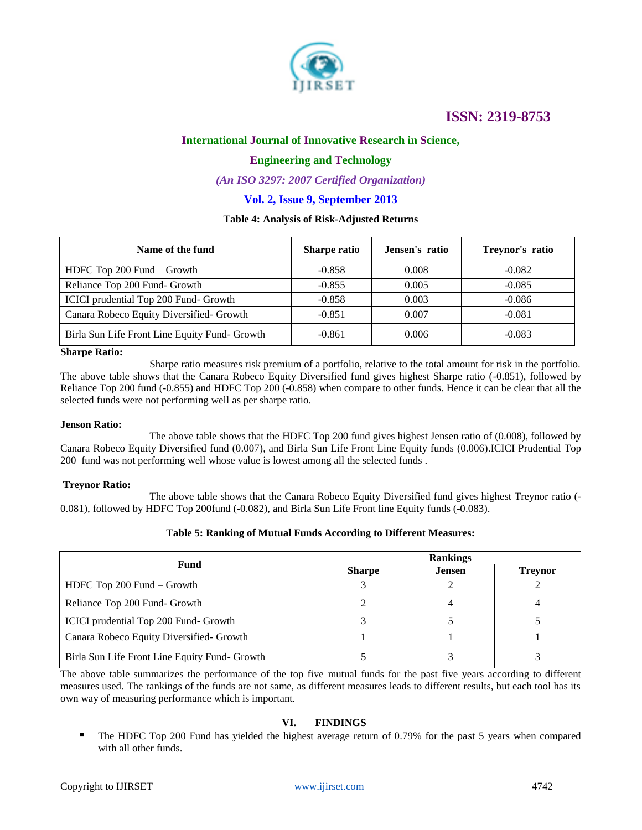

# **International Journal of Innovative Research in Science,**

# **Engineering and Technology**

# *(An ISO 3297: 2007 Certified Organization)*

# **Vol. 2, Issue 9, September 2013**

### **Table 4: Analysis of Risk-Adjusted Returns**

| Name of the fund                              | <b>Sharpe ratio</b> | Jensen's ratio | Treynor's ratio |
|-----------------------------------------------|---------------------|----------------|-----------------|
| HDFC Top 200 Fund – Growth                    | $-0.858$            | 0.008          | $-0.082$        |
| Reliance Top 200 Fund- Growth                 | $-0.855$            | 0.005          | $-0.085$        |
| ICICI prudential Top 200 Fund- Growth         | $-0.858$            | 0.003          | $-0.086$        |
| Canara Robeco Equity Diversified- Growth      | $-0.851$            | 0.007          | $-0.081$        |
| Birla Sun Life Front Line Equity Fund- Growth | $-0.861$            | 0.006          | $-0.083$        |

#### **Sharpe Ratio:**

Sharpe ratio measures risk premium of a portfolio, relative to the total amount for risk in the portfolio. The above table shows that the Canara Robeco Equity Diversified fund gives highest Sharpe ratio (-0.851), followed by Reliance Top 200 fund (-0.855) and HDFC Top 200 (-0.858) when compare to other funds. Hence it can be clear that all the selected funds were not performing well as per sharpe ratio.

### **Jenson Ratio:**

The above table shows that the HDFC Top 200 fund gives highest Jensen ratio of (0.008), followed by Canara Robeco Equity Diversified fund (0.007), and Birla Sun Life Front Line Equity funds (0.006).ICICI Prudential Top 200 fund was not performing well whose value is lowest among all the selected funds .

#### **Treynor Ratio:**

The above table shows that the Canara Robeco Equity Diversified fund gives highest Treynor ratio (- 0.081), followed by HDFC Top 200fund (-0.082), and Birla Sun Life Front line Equity funds (-0.083).

#### **Table 5: Ranking of Mutual Funds According to Different Measures:**

| Fund                                          | <b>Rankings</b>                |  |                |
|-----------------------------------------------|--------------------------------|--|----------------|
|                                               | <b>Sharpe</b><br><b>Jensen</b> |  | <b>Trevnor</b> |
| HDFC Top 200 Fund – Growth                    |                                |  |                |
| Reliance Top 200 Fund- Growth                 |                                |  |                |
| ICICI prudential Top 200 Fund- Growth         |                                |  |                |
| Canara Robeco Equity Diversified- Growth      |                                |  |                |
| Birla Sun Life Front Line Equity Fund- Growth |                                |  |                |

The above table summarizes the performance of the top five mutual funds for the past five years according to different measures used. The rankings of the funds are not same, as different measures leads to different results, but each tool has its own way of measuring performance which is important.

# **VI. FINDINGS**

The HDFC Top 200 Fund has yielded the highest average return of 0.79% for the past 5 years when compared with all other funds.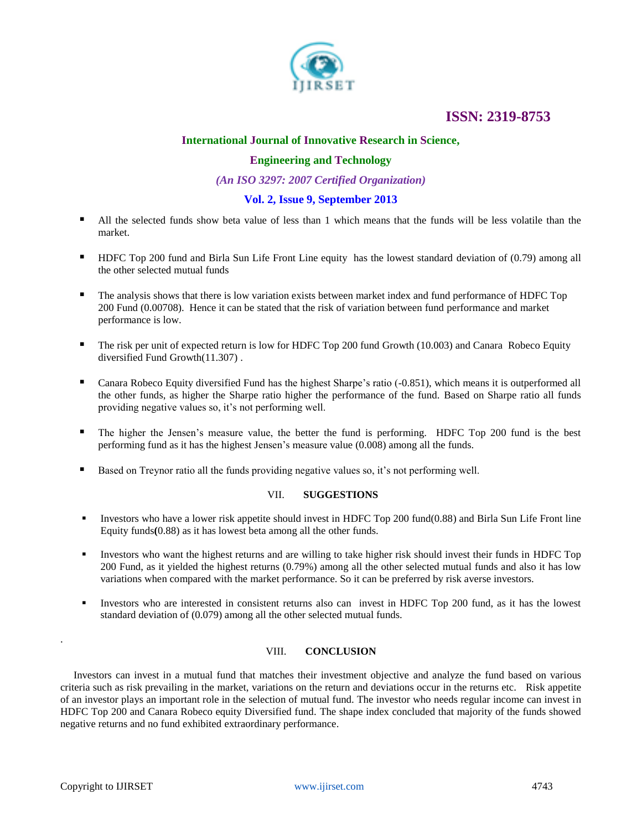

# **International Journal of Innovative Research in Science,**

# **Engineering and Technology**

*(An ISO 3297: 2007 Certified Organization)*

# **Vol. 2, Issue 9, September 2013**

- All the selected funds show beta value of less than 1 which means that the funds will be less volatile than the market.
- **HDFC Top 200 fund and Birla Sun Life Front Line equity has the lowest standard deviation of (0.79) among all** the other selected mutual funds
- The analysis shows that there is low variation exists between market index and fund performance of HDFC Top 200 Fund (0.00708). Hence it can be stated that the risk of variation between fund performance and market performance is low.
- The risk per unit of expected return is low for HDFC Top 200 fund Growth (10.003) and Canara Robeco Equity diversified Fund Growth(11.307) .
- Canara Robeco Equity diversified Fund has the highest Sharpe's ratio (-0.851), which means it is outperformed all the other funds, as higher the Sharpe ratio higher the performance of the fund. Based on Sharpe ratio all funds providing negative values so, it's not performing well.
- The higher the Jensen's measure value, the better the fund is performing. HDFC Top 200 fund is the best performing fund as it has the highest Jensen's measure value (0.008) among all the funds.
- Based on Treynor ratio all the funds providing negative values so, it's not performing well.

#### VII. **SUGGESTIONS**

- Investors who have a lower risk appetite should invest in HDFC Top 200 fund( $0.88$ ) and Birla Sun Life Front line Equity funds**(**0.88) as it has lowest beta among all the other funds.
- Investors who want the highest returns and are willing to take higher risk should invest their funds in HDFC Top 200 Fund, as it yielded the highest returns (0.79%) among all the other selected mutual funds and also it has low variations when compared with the market performance. So it can be preferred by risk averse investors.
- Investors who are interested in consistent returns also can invest in HDFC Top 200 fund, as it has the lowest standard deviation of (0.079) among all the other selected mutual funds.

# VIII. **CONCLUSION**

 Investors can invest in a mutual fund that matches their investment objective and analyze the fund based on various criteria such as risk prevailing in the market, variations on the return and deviations occur in the returns etc. Risk appetite of an investor plays an important role in the selection of mutual fund. The investor who needs regular income can invest in HDFC Top 200 and Canara Robeco equity Diversified fund. The shape index concluded that majority of the funds showed negative returns and no fund exhibited extraordinary performance.

.